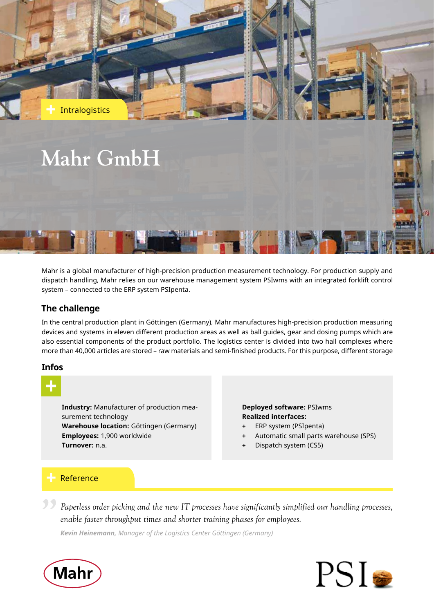

Mahr is a global manufacturer of high-precision production measurement technology. For production supply and dispatch handling, Mahr relies on our warehouse management system PSIwms with an integrated forklift control system – connected to the ERP system PSIpenta.

# **The challenge**

In the central production plant in Göttingen (Germany), Mahr manufactures high-precision production measuring devices and systems in eleven different production areas as well as ball guides, gear and dosing pumps which are also essential components of the product portfolio. The logistics center is divided into two hall complexes where more than 40,000 articles are stored – raw materials and semi-finished products. For this purpose, different storage

## **Infos**

**Industry:** Manufacturer of production measurement technology **Warehouse location:** Göttingen (Germany) **Employees:** 1,900 worldwide **Turnover:** n.a.

**Deployed software:** PSIwms **Realized interfaces:** 

- **+** ERP system (PSIpenta)
- **+** Automatic small parts warehouse (SPS)
- **+** Dispatch system (CS5)

# Reference

*Paperless order picking and the new IT processes have significantly simplified our handling processes, enable faster throughput times and shorter training phases for employees.*  $\frac{3}{2}$   $\frac{1}{2}$   $\frac{1}{2}$   $\frac{1}{2}$   $\frac{1}{2}$   $\frac{1}{2}$   $\frac{1}{2}$   $\frac{1}{2}$   $\frac{1}{2}$   $\frac{1}{2}$   $\frac{1}{2}$   $\frac{1}{2}$   $\frac{1}{2}$   $\frac{1}{2}$   $\frac{1}{2}$   $\frac{1}{2}$   $\frac{1}{2}$   $\frac{1}{2}$   $\frac{1}{2}$   $\frac{1}{2}$   $\frac{1}{2}$   $\frac{1}{2}$ 

*Kevin Heinemann, Manager of the Logistics Center Göttingen (Germany)*